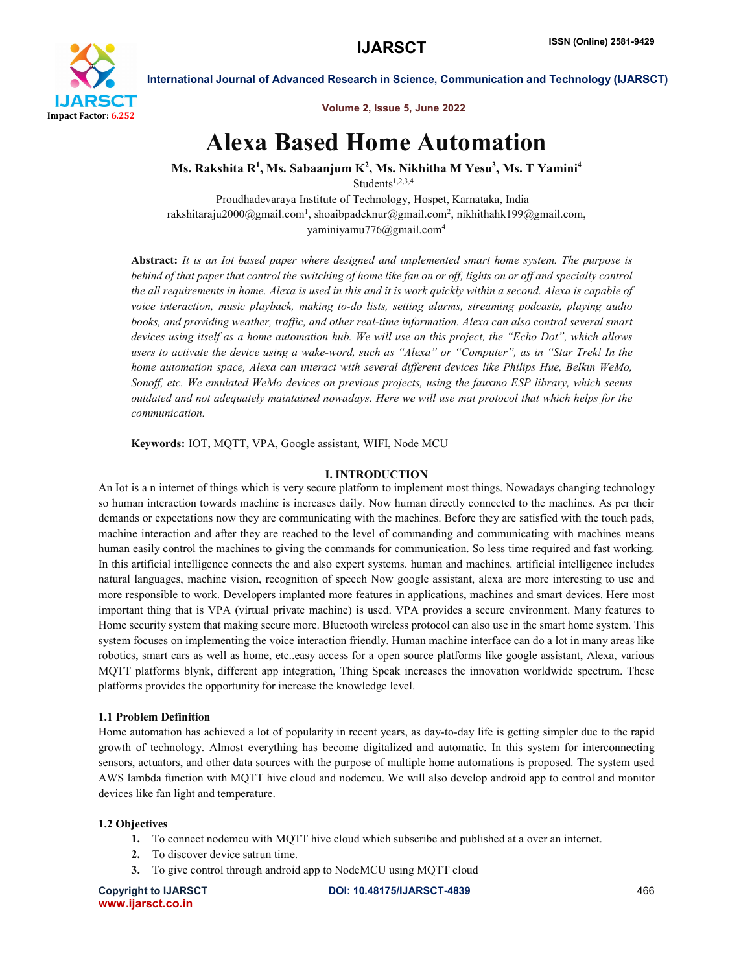

International Journal of Advanced Research in Science, Communication and Technology (IJARSCT)

Volume 2, Issue 5, June 2022

# Alexa Based Home Automation

Ms. Rakshita R $^1$ , Ms. Sabaanjum K $^2$ , Ms. Nikhitha M Yesu $^3$ , Ms. T Yamini $^4$ 

Students<sup>1,2,3,4</sup>

Proudhadevaraya Institute of Technology, Hospet, Karnataka, India rakshitaraju2000@gmail.com<sup>1</sup>, shoaibpadeknur@gmail.com<sup>2</sup>, nikhithahk199@gmail.com, yaminiyamu776@gmail.com4

Abstract: *It is an Iot based paper where designed and implemented smart home system. The purpose is behind of that paper that control the switching of home like fan on or off, lights on or off and specially control the all requirements in home. Alexa is used in this and it is work quickly within a second. Alexa is capable of voice interaction, music playback, making to-do lists, setting alarms, streaming podcasts, playing audio books, and providing weather, traffic, and other real-time information. Alexa can also control several smart devices using itself as a home automation hub. We will use on this project, the "Echo Dot", which allows users to activate the device using a wake-word, such as "Alexa" or "Computer", as in "Star Trek! In the home automation space, Alexa can interact with several different devices like Philips Hue, Belkin WeMo, Sonoff, etc. We emulated WeMo devices on previous projects, using the fauxmo ESP library, which seems outdated and not adequately maintained nowadays. Here we will use mat protocol that which helps for the communication.*

Keywords: IOT, MQTT, VPA, Google assistant, WIFI, Node MCU

### I. INTRODUCTION

An Iot is a n internet of things which is very secure platform to implement most things. Nowadays changing technology so human interaction towards machine is increases daily. Now human directly connected to the machines. As per their demands or expectations now they are communicating with the machines. Before they are satisfied with the touch pads, machine interaction and after they are reached to the level of commanding and communicating with machines means human easily control the machines to giving the commands for communication. So less time required and fast working. In this artificial intelligence connects the and also expert systems. human and machines. artificial intelligence includes natural languages, machine vision, recognition of speech Now google assistant, alexa are more interesting to use and more responsible to work. Developers implanted more features in applications, machines and smart devices. Here most important thing that is VPA (virtual private machine) is used. VPA provides a secure environment. Many features to Home security system that making secure more. Bluetooth wireless protocol can also use in the smart home system. This system focuses on implementing the voice interaction friendly. Human machine interface can do a lot in many areas like robotics, smart cars as well as home, etc..easy access for a open source platforms like google assistant, Alexa, various MQTT platforms blynk, different app integration, Thing Speak increases the innovation worldwide spectrum. These platforms provides the opportunity for increase the knowledge level.

### 1.1 Problem Definition

Home automation has achieved a lot of popularity in recent years, as day-to-day life is getting simpler due to the rapid growth of technology. Almost everything has become digitalized and automatic. In this system for interconnecting sensors, actuators, and other data sources with the purpose of multiple home automations is proposed. The system used AWS lambda function with MQTT hive cloud and nodemcu. We will also develop android app to control and monitor devices like fan light and temperature.

# 1.2 Objectives

- 1. To connect nodemcu with MQTT hive cloud which subscribe and published at a over an internet.
- 2. To discover device satrun time.
- 3. To give control through android app to NodeMCU using MQTT cloud

www.ijarsct.co.in

Copyright to IJARSCT DOI: 10.48175/IJARSCT-4839 466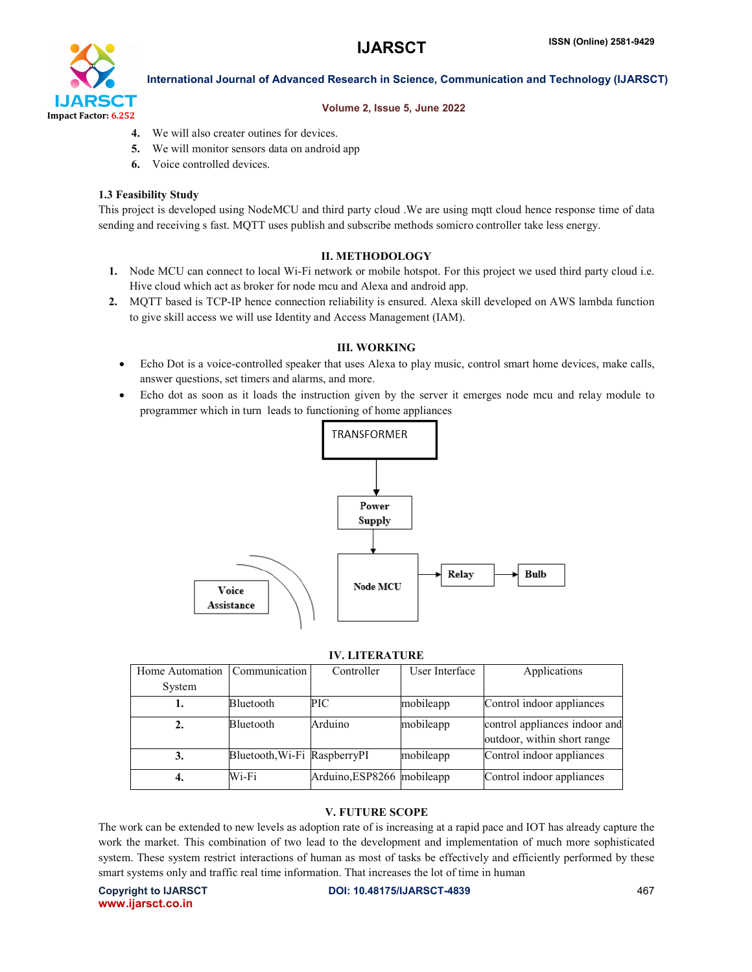

# International Journal of Advanced Research in Science, Communication and Technology (IJARSCT)

### Volume 2, Issue 5, June 2022

- 4. We will also creater outines for devices.
- 5. We will monitor sensors data on android app
- 6. Voice controlled devices.

# 1.3 Feasibility Study

This project is developed using NodeMCU and third party cloud .We are using mqtt cloud hence response time of data sending and receiving s fast. MQTT uses publish and subscribe methods somicro controller take less energy.

# II. METHODOLOGY

- 1. Node MCU can connect to local Wi-Fi network or mobile hotspot. For this project we used third party cloud i.e. Hive cloud which act as broker for node mcu and Alexa and android app.
- 2. MQTT based is TCP-IP hence connection reliability is ensured. Alexa skill developed on AWS lambda function to give skill access we will use Identity and Access Management (IAM).

# III. WORKING

- Echo Dot is a voice-controlled speaker that uses Alexa to play music, control smart home devices, make calls, answer questions, set timers and alarms, and more.
- Echo dot as soon as it loads the instruction given by the server it emerges node mcu and relay module to programmer which in turn leads to functioning of home appliances



### IV. LITERATURE

| Home Automation | Communication                | Controller                 | User Interface | Applications                                                 |
|-----------------|------------------------------|----------------------------|----------------|--------------------------------------------------------------|
| System          |                              |                            |                |                                                              |
|                 | Bluetooth                    | PIC                        | mobileapp      | Control indoor appliances                                    |
|                 | Bluetooth                    | Arduino                    | mobileapp      | control appliances indoor and<br>outdoor, within short range |
| 3.              | Bluetooth, Wi-Fi RaspberryPI |                            | mobileapp      | Control indoor appliances                                    |
|                 | Wi-Fi                        | Arduino, ESP8266 mobileapp |                | Control indoor appliances                                    |

# V. FUTURE SCOPE

The work can be extended to new levels as adoption rate of is increasing at a rapid pace and IOT has already capture the work the market. This combination of two lead to the development and implementation of much more sophisticated system. These system restrict interactions of human as most of tasks be effectively and efficiently performed by these smart systems only and traffic real time information. That increases the lot of time in human

www.ijarsct.co.in

Copyright to IJARSCT DOI: 10.48175/IJARSCT-4839 467